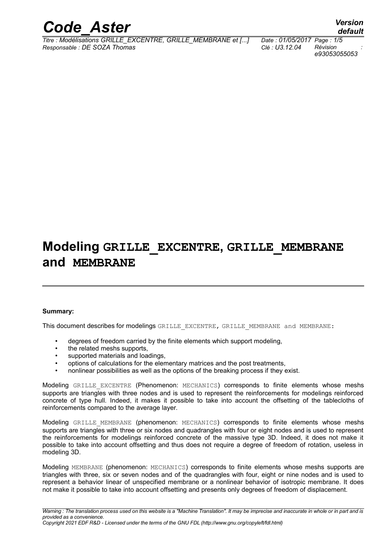

*Titre : Modélisations GRILLE\_EXCENTRE, GRILLE\_MEMBRANE et [...] Date : 01/05/2017 Page : 1/5 Responsable : DE SOZA Thomas Clé : U3.12.04 Révision :*

*e93053055053*

# **Modeling GRILLE\_EXCENTRE, GRILLE\_MEMBRANE and MEMBRANE**

#### **Summary:**

This document describes for modelings GRILLE\_EXCENTRE, GRILLE\_MEMBRANE and MEMBRANE:

- degrees of freedom carried by the finite elements which support modeling,
- the related meshs supports,
- supported materials and loadings,
- options of calculations for the elementary matrices and the post treatments,
- nonlinear possibilities as well as the options of the breaking process if they exist.

Modeling GRILLE EXCENTRE (Phenomenon: MECHANICS) corresponds to finite elements whose meshs supports are triangles with three nodes and is used to represent the reinforcements for modelings reinforced concrete of type hull. Indeed, it makes it possible to take into account the offsetting of the tablecloths of reinforcements compared to the average layer.

Modeling GRILLE MEMBRANE (phenomenon: MECHANICS) corresponds to finite elements whose meshs supports are triangles with three or six nodes and quadrangles with four or eight nodes and is used to represent the reinforcements for modelings reinforced concrete of the massive type 3D. Indeed, it does not make it possible to take into account offsetting and thus does not require a degree of freedom of rotation, useless in modeling 3D.

Modeling MEMBRANE (phenomenon: MECHANICS) corresponds to finite elements whose meshs supports are triangles with three, six or seven nodes and of the quadrangles with four, eight or nine nodes and is used to represent a behavior linear of unspecified membrane or a nonlinear behavior of isotropic membrane. It does not make it possible to take into account offsetting and presents only degrees of freedom of displacement.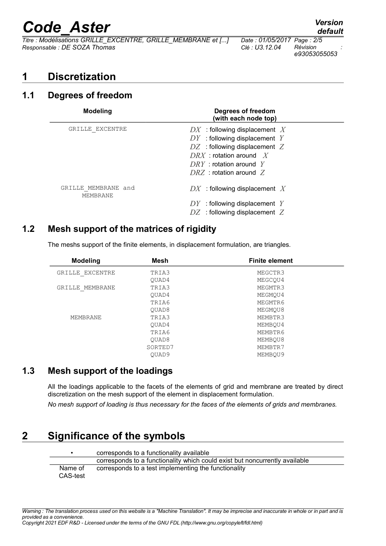# *Code\_Aster Version*

*Titre : Modélisations GRILLE\_EXCENTRE, GRILLE\_MEMBRANE et [...] Date : 01/05/2017 Page : 2/5 Responsable : DE SOZA Thomas Clé : U3.12.04 Révision :*

# *e93053055053*

### **1 Discretization**

#### **1.1 Degrees of freedom**

| <b>Modeling</b>                 | Degrees of freedom<br>(with each node top)                                                                                                                                                   |
|---------------------------------|----------------------------------------------------------------------------------------------------------------------------------------------------------------------------------------------|
| GRILLE EXCENTRE                 | $DX$ : following displacement X<br>$DY$ : following displacement Y<br>$DZ$ : following displacement Z<br>$DRX$ : rotation around X<br>$DRY$ : rotation around Y<br>$DRZ$ : rotation around Z |
| GRILLE MEMBRANE and<br>MEMBRANE | $DX$ : following displacement X<br>$DY$ : following displacement Y<br>$DZ$ : following displacement Z                                                                                        |

#### **1.2 Mesh support of the matrices of rigidity**

The meshs support of the finite elements, in displacement formulation, are triangles.

| <b>Modeling</b> | <b>Mesh</b> | <b>Finite element</b> |
|-----------------|-------------|-----------------------|
| GRILLE EXCENTRE | TRIA3       | MEGCTR3               |
|                 | OUAD4       | MEGCOU4               |
| GRILLE MEMBRANE | TRIA3       | MEGMTR3               |
|                 | OUAD4       | MEGMOU4               |
|                 | TRIA6       | MEGMTR6               |
|                 | OUAD8       | MEGMOU8               |
| MEMBRANE        | TRIA3       | MEMBTR3               |
|                 | OUAD4       | MEMBOU4               |
|                 | TRIA6       | MEMBTR6               |
|                 | OUAD8       | MEMBOU8               |
|                 | SORTED7     | MEMBTR7               |
|                 | OUAD9       | MEMBOU9               |

#### **1.3 Mesh support of the loadings**

All the loadings applicable to the facets of the elements of grid and membrane are treated by direct discretization on the mesh support of the element in displacement formulation.

*No mesh support of loading is thus necessary for the faces of the elements of grids and membranes.*

### **2 Significance of the symbols**

 $\overline{a}$ 

|                     | corresponds to a functionality available                                    |
|---------------------|-----------------------------------------------------------------------------|
|                     | corresponds to a functionality which could exist but noncurrently available |
| Name of<br>CAS-test | corresponds to a test implementing the functionality                        |

*default*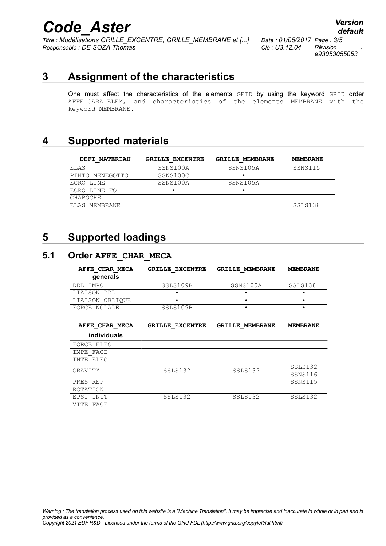# *Code\_Aster Version*<br>*Titre : Modélisations GRILLE EXCENTRE, GRILLE MEMBRANE et [...] Date : 01/05/2017 Page : 3/5*

 $\overline{T}$ itre : Modélisations GRILLE\_EXCENTRE, GRILLE\_MEMBRANE et [...] *Responsable : DE SOZA Thomas Clé : U3.12.04 Révision :*

*e93053055053*

### **3 Assignment of the characteristics**

One must affect the characteristics of the elements GRID by using the keyword GRID order AFFE CARA ELEM, and characteristics of the elements MEMBRANE with the keyword MEMBRANE.

### **4 Supported materials**

| <b>DEFI MATERIAU</b> | <b>GRILLE EXCENTRE</b> | <b>GRILLE MEMBRANE</b> | <b>MEMBRANE</b> |
|----------------------|------------------------|------------------------|-----------------|
| ELAS                 | SSNS100A               | SSNS105A               | SSNS115         |
| PINTO MENEGOTTO      | SSNS100C               |                        |                 |
| ECRO LINE            | SSNS100A               | SSNS105A               |                 |
| ECRO LINE FO         |                        |                        |                 |
| CHABOCHE             |                        |                        |                 |
| ELAS MEMBRANE        |                        |                        | SSLS138         |

#### **5 Supported loadings**

#### **5.1 Order AFFE\_CHAR\_MECA**

| AFFE CHAR MECA<br>generals | GRILLE EXCENTRE | <b>GRILLE MEMBRANE</b> | <b>MEMBRANE</b> |
|----------------------------|-----------------|------------------------|-----------------|
| DDL IMPO                   | SSLS109B        | SSNS105A               | SSLS138         |
| LIAISON DDL                |                 |                        | ٠               |
| LIAISON OBLIOUE            |                 |                        | ٠               |
| FORCE NODALE               | SSLS109B        |                        |                 |
| AFFE CHAR MECA             | GRILLE EXCENTRE | <b>GRILLE MEMBRANE</b> | <b>MEMBRANE</b> |
| individuals                |                 |                        |                 |
| FORCE ELEC                 |                 |                        |                 |
| IMPE FACE                  |                 |                        |                 |
| INTE ELEC                  |                 |                        |                 |
| GRAVITY                    | SSLS132         | SSLS132                | SSLS132         |
|                            |                 |                        | SSNS116         |
| PRES REP                   |                 |                        | SSNS115         |
| ROTATION                   |                 |                        |                 |
| EPSI INIT                  | SSLS132         | SSLS132                | SSLS132         |
| VITE FACE                  |                 |                        |                 |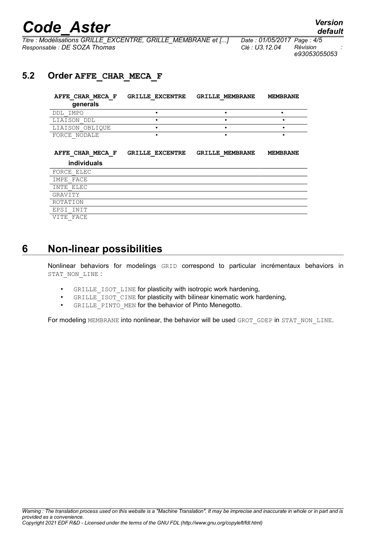# *Code\_Aster Version*

*Titre : Modélisations GRILLE\_EXCENTRE, GRILLE\_MEMBRANE et [...] Date : 01/05/2017 Page : 4/5 Responsable : DE SOZA Thomas Clé : U3.12.04 Révision :*

*e93053055053*

#### **5.2 Order AFFE\_CHAR\_MECA\_F**

| AFFE CHAR MECA F<br>generals | <b>GRILLE EXCENTRE</b> | <b>GRILLE MEMBRANE</b> | <b>MEMBRANE</b> |
|------------------------------|------------------------|------------------------|-----------------|
| DDL IMPO                     |                        |                        |                 |
| LIAISON DDL                  |                        |                        |                 |
| LIAISON OBLIOUE              |                        |                        |                 |
| FORCE NODALE                 |                        |                        |                 |

| AFFE CHAR MECA F   | <b>GRILLE EXCENTRE</b> | <b>GRILLE MEMBRANE</b> | <b>MEMBRANE</b> |
|--------------------|------------------------|------------------------|-----------------|
| <b>individuals</b> |                        |                        |                 |
| FORCE ELEC         |                        |                        |                 |
| IMPE FACE          |                        |                        |                 |
| INTE ELEC          |                        |                        |                 |
| GRAVITY            |                        |                        |                 |
| ROTATION           |                        |                        |                 |
| EPSI INIT          |                        |                        |                 |
| VITE FACE          |                        |                        |                 |

#### **6 Non-linear possibilities**

Nonlinear behaviors for modelings GRID correspond to particular incrémentaux behaviors in STAT\_NON\_LINE :

- GRILLE\_ISOT\_LINE for plasticity with isotropic work hardening,
- GRILLE ISOT CINE for plasticity with bilinear kinematic work hardening,
- GRILLE PINTO MEN for the behavior of Pinto Menegotto.

For modeling MEMBRANE into nonlinear, the behavior will be used GROT\_GDEP in STAT\_NON\_LINE.